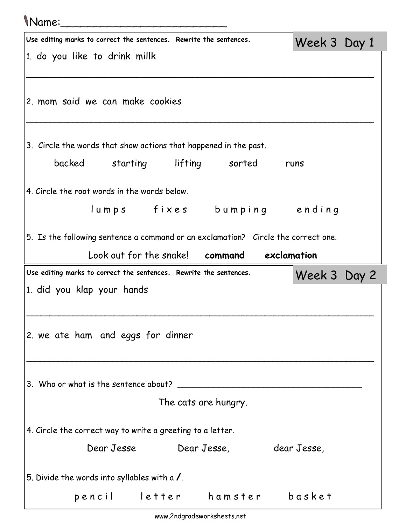## Name:\_\_\_\_\_\_\_\_\_\_\_\_\_\_\_\_\_\_\_\_\_\_\_\_\_

| Use editing marks to correct the sentences. Rewrite the sentences. |                      |                                                                  | Week 3 Day 1                                                                      |  |
|--------------------------------------------------------------------|----------------------|------------------------------------------------------------------|-----------------------------------------------------------------------------------|--|
| 1. do you like to drink millk                                      |                      |                                                                  |                                                                                   |  |
|                                                                    |                      |                                                                  |                                                                                   |  |
| 2. mom said we can make cookies                                    |                      |                                                                  |                                                                                   |  |
|                                                                    |                      | 3. Circle the words that show actions that happened in the past. |                                                                                   |  |
| backed starting lifting sorted                                     |                      |                                                                  | runs                                                                              |  |
| 4. Circle the root words in the words below.                       |                      |                                                                  |                                                                                   |  |
|                                                                    |                      |                                                                  | lumps fixes bumping ending                                                        |  |
|                                                                    |                      |                                                                  | 5. Is the following sentence a command or an exclamation? Circle the correct one. |  |
|                                                                    |                      | Look out for the snake! command exclamation                      |                                                                                   |  |
|                                                                    |                      |                                                                  |                                                                                   |  |
| Use editing marks to correct the sentences. Rewrite the sentences. |                      |                                                                  | Week 3 Day 2                                                                      |  |
| 1. did you klap your hands                                         |                      |                                                                  |                                                                                   |  |
| 2. we ate ham and eggs for dinner                                  |                      |                                                                  |                                                                                   |  |
|                                                                    |                      |                                                                  |                                                                                   |  |
|                                                                    | The cats are hungry. |                                                                  |                                                                                   |  |
| 4. Circle the correct way to write a greeting to a letter.         |                      |                                                                  |                                                                                   |  |
| Dear Jesse                                                         |                      | Dear Jesse,                                                      | dear Jesse,                                                                       |  |
| 5. Divide the words into syllables with a /.                       |                      |                                                                  |                                                                                   |  |

 $\overline{\phantom{a}}$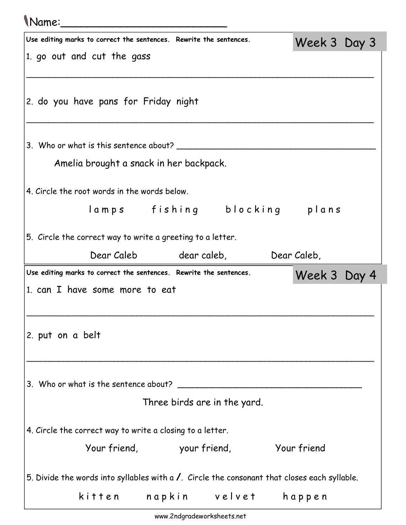## Name:\_\_\_\_\_\_\_\_\_\_\_\_\_\_\_\_\_\_\_\_\_\_\_\_\_

| Use editing marks to correct the sentences. Rewrite the sentences.                             | Week 3 Day 3 |  |
|------------------------------------------------------------------------------------------------|--------------|--|
| 1. go out and cut the gass                                                                     |              |  |
|                                                                                                |              |  |
| 2. do you have pans for Friday night                                                           |              |  |
|                                                                                                |              |  |
|                                                                                                |              |  |
| Amelia brought a snack in her backpack.                                                        |              |  |
| 4. Circle the root words in the words below.                                                   |              |  |
| lamps fishing blocking plans                                                                   |              |  |
|                                                                                                |              |  |
| 5. Circle the correct way to write a greeting to a letter.                                     |              |  |
| Dear Caleb dear caleb,                                                                         | Dear Caleb,  |  |
|                                                                                                |              |  |
| Use editing marks to correct the sentences. Rewrite the sentences.                             | Week 3 Day 4 |  |
| 1. can I have some more to eat                                                                 |              |  |
|                                                                                                |              |  |
|                                                                                                |              |  |
| 2. put on a belt                                                                               |              |  |
|                                                                                                |              |  |
| 3. Who or what is the sentence about?                                                          |              |  |
| Three birds are in the yard.                                                                   |              |  |
|                                                                                                |              |  |
| 4. Circle the correct way to write a closing to a letter.<br>Your friend, your friend,         | Your friend  |  |
|                                                                                                |              |  |
| 5. Divide the words into syllables with $a$ /. Circle the consonant that closes each syllable. |              |  |